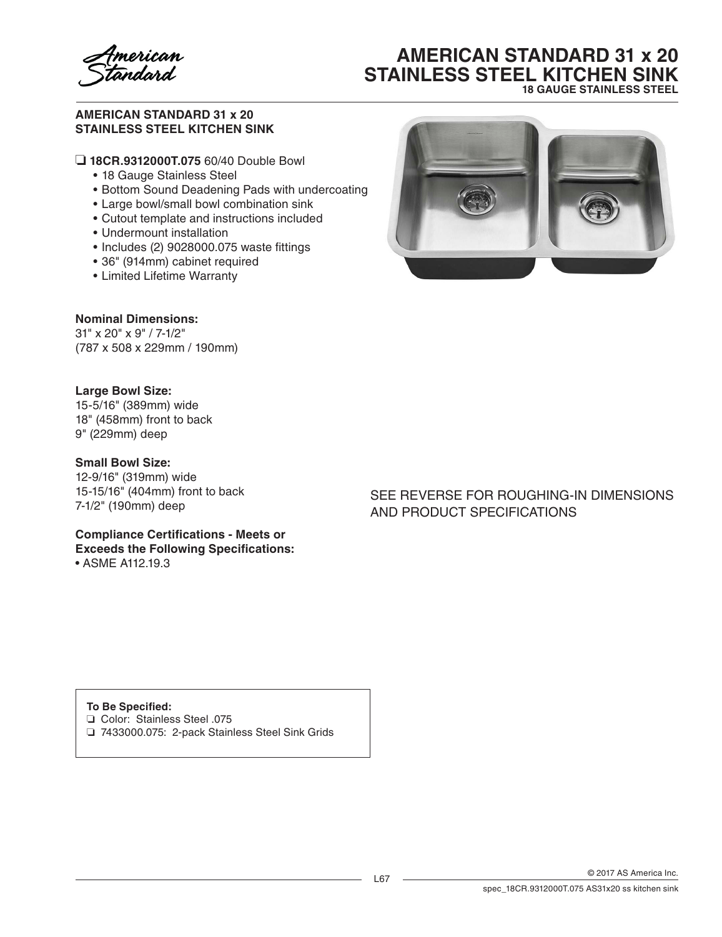merican<br><del>a</del>ndard

# **AMERICAN STANDARD 31 x 20 STAINLESS STEEL KITCHEN SINK 18 GAUGE STAINLESS STEEL**

#### **AMERICAN STANDARD 31 x 20 STAINLESS STEEL KITCHEN SINK**

❏ **18CR.9312000T.075** 60/40 Double Bowl

- 18 Gauge Stainless Steel
- Bottom Sound Deadening Pads with undercoating
- • Large bowl/small bowl combination sink
- Cutout template and instructions included
- Undermount installation
- Includes (2) 9028000.075 waste fittings
- • 36" (914mm) cabinet required
- • Limited Lifetime Warranty



# **Nominal Dimensions:**

31" x 20" x 9" / 7-1/2" (787 x 508 x 229mm / 190mm)

### **Large Bowl Size:**

15-5/16" (389mm) wide 18" (458mm) front to back 9" (229mm) deep

#### **Small Bowl Size:**

12-9/16" (319mm) wide 15-15/16" (404mm) front to back 7-1/2" (190mm) deep

**Compliance Certifications - Meets or Exceeds the Following Specifications:**

• ASME A112.19.3

## SEE REVERSE FOR ROUGHING-IN DIMENSIONS AND PRODUCT SPECIFICATIONS

#### **To Be Specified:**

❏ Color: Stainless Steel .075

❏ 7433000.075: 2-pack Stainless Steel Sink Grids